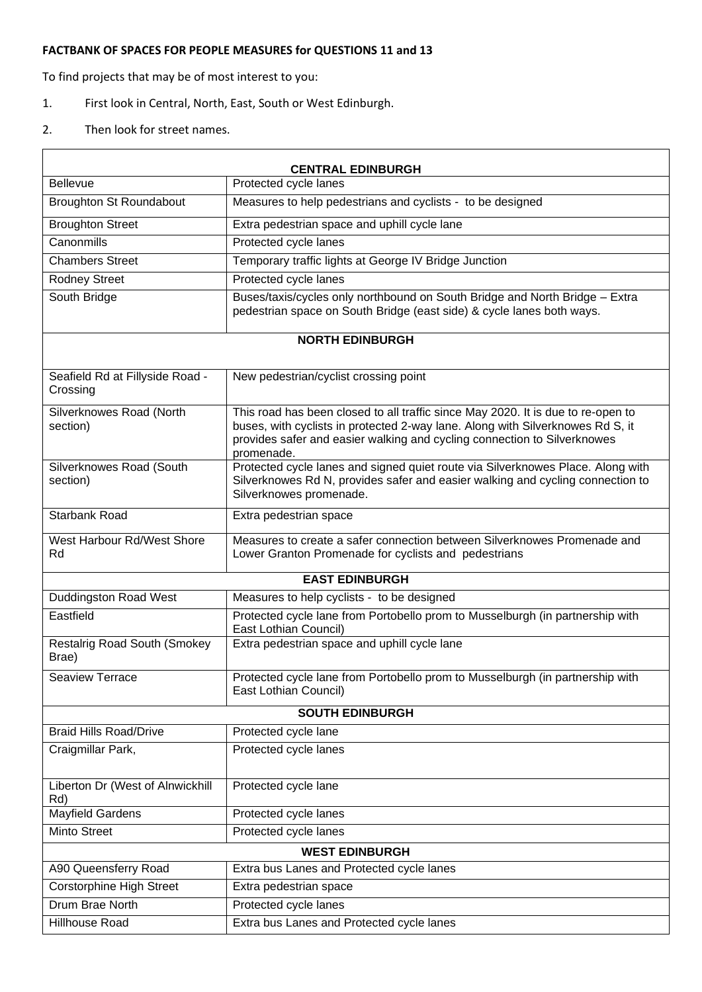## **FACTBANK OF SPACES FOR PEOPLE MEASURES for QUESTIONS 11 and 13**

To find projects that may be of most interest to you:

- 1. First look in Central, North, East, South or West Edinburgh.
- 2. Then look for street names.

 $\mathsf{r}$ 

| <b>CENTRAL EDINBURGH</b>                     |                                                                                                                                                                                                                                                              |  |
|----------------------------------------------|--------------------------------------------------------------------------------------------------------------------------------------------------------------------------------------------------------------------------------------------------------------|--|
| <b>Bellevue</b>                              | Protected cycle lanes                                                                                                                                                                                                                                        |  |
| <b>Broughton St Roundabout</b>               | Measures to help pedestrians and cyclists - to be designed                                                                                                                                                                                                   |  |
| <b>Broughton Street</b>                      | Extra pedestrian space and uphill cycle lane                                                                                                                                                                                                                 |  |
| Canonmills                                   | Protected cycle lanes                                                                                                                                                                                                                                        |  |
| <b>Chambers Street</b>                       | Temporary traffic lights at George IV Bridge Junction                                                                                                                                                                                                        |  |
| <b>Rodney Street</b>                         | Protected cycle lanes                                                                                                                                                                                                                                        |  |
| South Bridge                                 | Buses/taxis/cycles only northbound on South Bridge and North Bridge - Extra<br>pedestrian space on South Bridge (east side) & cycle lanes both ways.                                                                                                         |  |
| <b>NORTH EDINBURGH</b>                       |                                                                                                                                                                                                                                                              |  |
| Seafield Rd at Fillyside Road -<br>Crossing  | New pedestrian/cyclist crossing point                                                                                                                                                                                                                        |  |
| Silverknowes Road (North<br>section)         | This road has been closed to all traffic since May 2020. It is due to re-open to<br>buses, with cyclists in protected 2-way lane. Along with Silverknowes Rd S, it<br>provides safer and easier walking and cycling connection to Silverknowes<br>promenade. |  |
| Silverknowes Road (South<br>section)         | Protected cycle lanes and signed quiet route via Silverknowes Place. Along with<br>Silverknowes Rd N, provides safer and easier walking and cycling connection to<br>Silverknowes promenade.                                                                 |  |
| <b>Starbank Road</b>                         | Extra pedestrian space                                                                                                                                                                                                                                       |  |
| West Harbour Rd/West Shore<br>Rd             | Measures to create a safer connection between Silverknowes Promenade and<br>Lower Granton Promenade for cyclists and pedestrians                                                                                                                             |  |
| <b>EAST EDINBURGH</b>                        |                                                                                                                                                                                                                                                              |  |
| <b>Duddingston Road West</b>                 | Measures to help cyclists - to be designed                                                                                                                                                                                                                   |  |
| Eastfield                                    | Protected cycle lane from Portobello prom to Musselburgh (in partnership with<br>East Lothian Council)                                                                                                                                                       |  |
| <b>Restalrig Road South (Smokey</b><br>Brae) | Extra pedestrian space and uphill cycle lane                                                                                                                                                                                                                 |  |
| <b>Seaview Terrace</b>                       | Protected cycle lane from Portobello prom to Musselburgh (in partnership with<br>East Lothian Council)                                                                                                                                                       |  |
| <b>SOUTH EDINBURGH</b>                       |                                                                                                                                                                                                                                                              |  |
| <b>Braid Hills Road/Drive</b>                | Protected cycle lane                                                                                                                                                                                                                                         |  |
| Craigmillar Park,                            | Protected cycle lanes                                                                                                                                                                                                                                        |  |
| Liberton Dr (West of Alnwickhill<br>Rd)      | Protected cycle lane                                                                                                                                                                                                                                         |  |
| <b>Mayfield Gardens</b>                      | Protected cycle lanes                                                                                                                                                                                                                                        |  |
| Minto Street                                 | Protected cycle lanes                                                                                                                                                                                                                                        |  |
| <b>WEST EDINBURGH</b>                        |                                                                                                                                                                                                                                                              |  |
| A90 Queensferry Road                         | Extra bus Lanes and Protected cycle lanes                                                                                                                                                                                                                    |  |
| <b>Corstorphine High Street</b>              | Extra pedestrian space                                                                                                                                                                                                                                       |  |
| Drum Brae North                              | Protected cycle lanes                                                                                                                                                                                                                                        |  |
| Hillhouse Road                               | Extra bus Lanes and Protected cycle lanes                                                                                                                                                                                                                    |  |

 $\overline{\phantom{a}}$